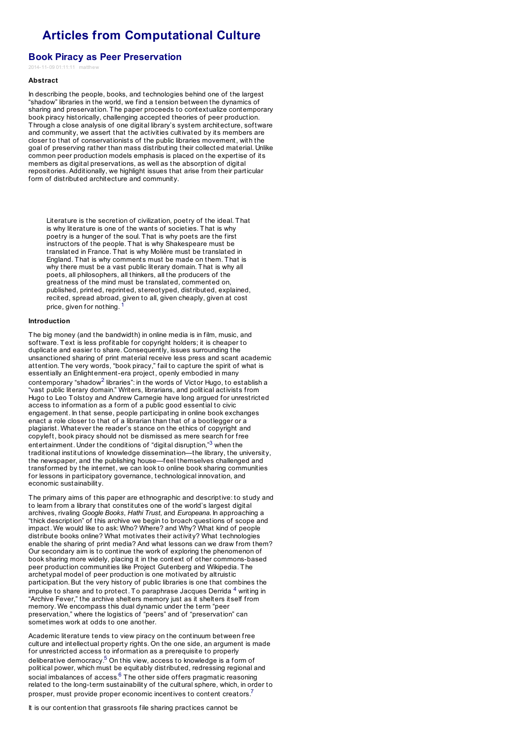# **Articles from [Computational](http://computationalculture.net) Culture**

## **Book Piracy as Peer Preservation**

 $2014 - 11 - 0901 \cdot 11 \cdot 11$  m

## **[Abstract](http://computationalculture.net/article/book-piracy-as-peer-preservation)**

In describing the people, books, and technologies behind one of the largest "shadow" libraries in the world, we find a tension between the dynamics of sharing and preservation. The paper proceeds to contextualize contemporary book piracy historically, challenging accepted theories of peer production. Through a close analysis of one digital library's system architecture, software and community, we assert that the activities cultivated by its members are closer to that of conservationists of the public libraries movement, with the goal of preserving rather than mass distributing their collected material. Unlike common peer production models emphasis is placed on the expertise of its members as digital preservations, as well as the absorption of digital repositories. Additionally, we highlight issues that arise from their particular form of distributed architecture and community.

Literature is the secretion of civilization, poetry of the ideal. That is why literature is one of the wants of societies. That is why poetry is a hunger of the soul. That is why poets are the first instructors of the people. That is why Shakespeare must be translated in France. That is why Molière must be translated in England. That is why comments must be made on them. That is why there must be a vast public literary domain. That is why all poets, all philosophers, all thinkers, all the producers of the greatness of the mind must be translated, commented on, published, printed, reprinted, stereotyped, distributed, explained, recited, spread abroad, given to all, given cheaply, given at cost price, given for nothing. <sup>1</sup>

## **Introduction**

The big money (and the bandwidth) in online media is in film, music, and software. Text is less profitable for copyright holders; it is cheaper to duplicate and easier to share. Consequently, issues surrounding the unsanctioned sharing of print material receive less press and scant academic attention. The very words, "book piracy," fail to capture the spirit of what is essentially an Enlightenment-era project, openly embodied in many contemporary "shadow $^2$  libraries": in the words of Victor Hugo, to establish a "vast public literary domain." Writers, librarians, and political activists from Hugo to Leo Tolstoy and Andrew Carnegie have long argued for unrestricted access to information as a form of a public good essential to civic engagement. In that sense, people participating in online book exchanges enact a role closer to that of a librarian than that of a bootlegger or a plagiarist. Whatever the reader's stance on the ethics of copyright and copyleft, book piracy should not be dismissed as mere search for free entertainment. Under the conditions of "digital disruption,"<sup>3</sup> when the traditional institutions of knowledge dissemination—the library, the university, the newspaper, and the publishing house—feel themselves challenged and transformed by the internet, we can look to online book sharing communities for lessons in participatory governance, technological innovation, and economic sustainability.

<span id="page-0-0"></span>The primary aims of this paper are ethnographic and descriptive: to study and to learn from a library that constitutes one of the world's largest digital archives, rivaling *Google Books*, *Hathi Trust*, and *Europeana*. In approaching a "thick description" of this archive we begin to broach questions of scope and impact. We would like to ask: Who? Where? and Why? What kind of people distribute books online? What motivates their activity? What technologies enable the sharing of print media? And what lessons can [w](#page-10-0)e draw from them? Our secondary aim is to continue the work of exploring the phenomenon of book sharing more widely, placing it in the context of other commons-based peer production communities like Project Gutenberg and Wikipedia. The archetypal model of peer production is one motivated by altruistic participation. But the very history of public libraries is one that combines the impulse to share and to protect. To paraphrase Jacques Derrida  $^4$  writing in  $\,$ "Archive Fever," the archive shelters memory just as it shelters itself from memory. We encompass this dual dynamic under the term "peer preservation," where the logistics of "peers" and of "preservation" can sometimes work at odds to one another.

Academic literature tends to view piracy on the continuum between free culture and intellectual property rights. On the one side, an argument is made for unrestricted access to information as a prerequisite to properly deliberative democracy.<sup>5</sup> On this view, access to knowledge is a form of political power, which must be equitably distributed, redressing regional and social imbalances of access.<sup>6</sup> The other side offers pragmatic reasoning related to the long-term sustainability of the [c](#page-10-1)ultural sphere, which, in order to prosper, must provide proper economic incentives to content creators.<sup>7</sup>

<span id="page-0-5"></span><span id="page-0-4"></span><span id="page-0-3"></span><span id="page-0-2"></span><span id="page-0-1"></span>It is our contention that grassroots file sharing practices cannot be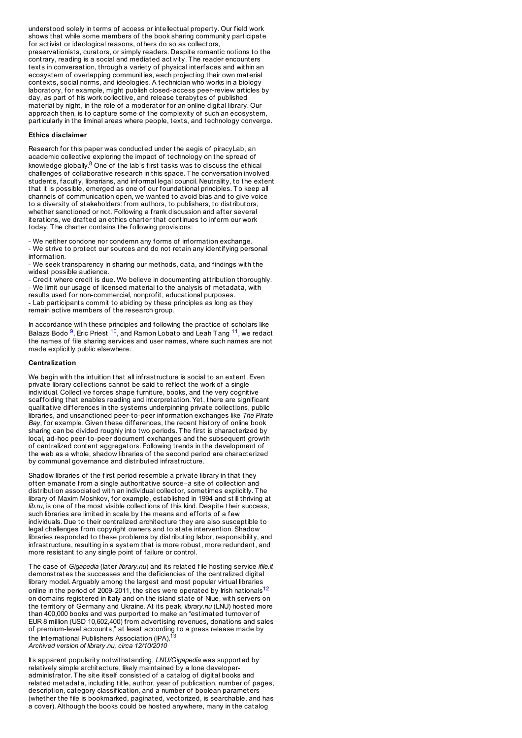understood solely in terms of access or intellectual property. Our field work shows that while some members of the book sharing community participate for activist or ideological reasons, others do so as collectors, preservationists, curators, or simply readers. Despite romantic notions to the contrary, reading is a social and mediated activity. The reader encounters texts in conversation, through a variety of physical interfaces and within an ecosystem of overlapping communities, each projecting their own material contexts, social norms, and ideologies. A technician who works in a biology laboratory, for example, might publish closed-access peer-review articles by day, as part of his work collective, and release terabytes of published material by night, in the role of a moderator for an online digital library. Our approach then, is to capture some of the complexity of such an ecosystem, particularly in the liminal areas where people, texts, and technology converge.

## **Ethics disclaimer**

Research for this paper was conducted under the aegis of piracyLab, an academic collective exploring the impact of technology on the spread of knowledge globally. $8$  One of the lab's first tasks was to discuss the ethical challenges of collaborative research in this space. The conversation involved students, faculty, librarians, and informal legal council. Neutrality, to the extent that it is possible, emerged as one of our foundational principles. To keep all channels of communication open, we wanted to avoid bias and to give voice to a diversity of stakeholders: from authors, to publishers, to distributors, whether sanctioned or not. Following a frank discussion and after several iterations, we drafted an ethics charter that continues to inform our work today. The charter contains the following provisions:

- We neither condone nor condemn any forms of information exchange. - We strive to protect our sources and do not retain any identifying personal

information. - We seek transparency in sharing our methods, data, and findings with the widest possible audience.

<span id="page-1-0"></span>- Credit where credit is due. We belie[ve](#page-10-2) in documenting attribution thoroughly.

- We limit our usage of licensed material to the analysis of metadata, with results used for non-commercial, nonprofit, educational purposes.

- Lab participants commit to abiding by these principles as long as they remain active members of the research group.

In accordance with these principles and following the practice of scholars like Balazs Bodo <sup>9</sup>, Eric Priest <sup>10</sup>, and Ramon Lobato and Leah Tang <sup>11</sup>, we redact the names of file sharing services and user names, where such names are not made explicitly public elsewhere.

## **Centralization**

We begin with the intuition that all infrastructure is social to an extent. Even private library collections cannot be said to reflect the work of a single individual. Collective forces shape furniture, books, and the very cognitive scaffolding that enables reading and interpretation. Yet, there are significant qualitative differences in the systems underpinning private collections, public libraries, and unsanctioned peer-to-peer information exchanges like *The Pirate Bay*, for example. Given these differences, the recent history of online book sharing can be divided roughly into two periods. The first is characterized by local, ad-hoc peer-to-peer document exchanges and the subsequent growth of centralized content aggregators. Following trends in the development of the web as a whole, shadow libraries of the second period are characterized by communal governance and distributed infrastructure.

Shadow libraries of the first period resemble a private library in that they often emanate from a single authoritative source–a site of collection and distribution associated with an individual collector, sometimes explicitly. The library of Maxim Moshkov, for example, established in 1994 and still thriving at *lib.ru*, is one of the most visible collections of this kind. Despite their success, such libraries are limited in scale by the means and efforts of a few individuals. Due to their centralized architecture they are also susceptible to legal challenges from copyright owners and to state intervention. Shadow libraries responded to these problems by distributing labor, responsibility, and infrastructure, resulting in a system that is more robust, more redundant, and more resistant to any single point of failure or control.

<span id="page-1-2"></span><span id="page-1-1"></span>The case of *Gigapedia* (later *library.nu*) and its related file hosting service *ifile.it* demonstrates the successes and the deficiencies of the centralized digital library model. Arguably among the largest and most popular virtual libraries online in the period of 200[9-2](#page-10-3)011, the sites were o[pera](#page-10-4)ted by Irish nationals  $^{12}$ on domains registered in Italy and on the island state of Niue, with servers on the territory of Germany and Ukraine. At its peak, *library.nu* (LNU) hosted more than 400,000 books and was purported to make an "estimated turnover of EUR 8 million (USD 10,602,400) from advertising revenues, donations and sales of premium-level accounts," at least according to a press release made by the International Publishers Association (IPA).<sup>13</sup>

*Archived version of library.nu, circa 12/10/2010*

Its apparent popularit y notwithstanding, *LNU/Gigapedia* was supported by relatively simple architecture, likely maintained by a lone developeradministrator. The site it self consisted of a catalog of digital books and related metadata, including title, author, year of publication, number of pages, description, category classification, and a number of boolean parameters (whether the file is bookmarked, paginated, vectorized, is searchable, and has a cover). Although the books could be hosted anywhere, many in the catalog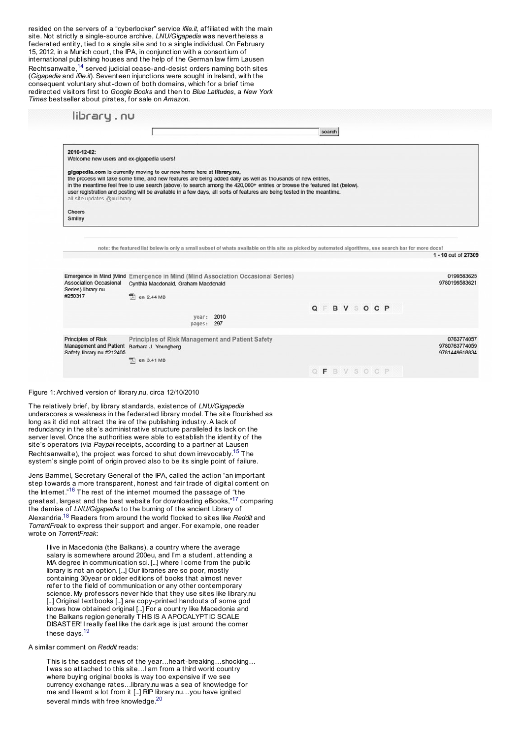resided on the servers of a "cyberlocker" service *ifile.it*, affiliated with the main site. Not strictly a single-source archive, *LNU/Gigapedia* was nevertheless a federated entity, tied to a single site and to a single individual. On February 15, 2012, in a Munich court, the IPA, in conjunction with a consortium of international publishing houses and the help of the German law firm Lausen Rechtsanwalte,<sup>14</sup> served judicial cease-and-desist orders naming both sites (*Gigapedia* and *ifile.it*). Seventeen injunctions were sought in Ireland, with the consequent voluntary shut-down of both domains, which for a brief time redirected visitors first to *Google Books* and then to *Blue Latitudes*, a *New York Times* bestseller about pirates, [fo](#page-10-5)r sale on *Amazon*.

|                                                                                                                   |                                                                       |                                                                                                                                                                                                                                                                                                                                                                     | search                                                                                                                                                |                                                                                   |
|-------------------------------------------------------------------------------------------------------------------|-----------------------------------------------------------------------|---------------------------------------------------------------------------------------------------------------------------------------------------------------------------------------------------------------------------------------------------------------------------------------------------------------------------------------------------------------------|-------------------------------------------------------------------------------------------------------------------------------------------------------|-----------------------------------------------------------------------------------|
| 2010-12-02:                                                                                                       |                                                                       |                                                                                                                                                                                                                                                                                                                                                                     |                                                                                                                                                       |                                                                                   |
| Welcome new users and ex-gigapedia users!                                                                         |                                                                       |                                                                                                                                                                                                                                                                                                                                                                     |                                                                                                                                                       |                                                                                   |
| all site updates @nulibrary                                                                                       | gigapedia.com is currently moving to our new home here at library.nu, | the process will take some time, and new features are being added daily as well as thousands of new entries,<br>in the meantime feel free to use search (above) to search among the 420,000+ entries or browse the featured list (below).<br>user registration and posting will be available in a few days, all sorts of features are being tested in the meantime. |                                                                                                                                                       |                                                                                   |
|                                                                                                                   |                                                                       |                                                                                                                                                                                                                                                                                                                                                                     |                                                                                                                                                       |                                                                                   |
| <b>Cheers</b><br>Smiley                                                                                           |                                                                       |                                                                                                                                                                                                                                                                                                                                                                     |                                                                                                                                                       |                                                                                   |
|                                                                                                                   |                                                                       |                                                                                                                                                                                                                                                                                                                                                                     |                                                                                                                                                       |                                                                                   |
|                                                                                                                   |                                                                       |                                                                                                                                                                                                                                                                                                                                                                     |                                                                                                                                                       |                                                                                   |
|                                                                                                                   |                                                                       |                                                                                                                                                                                                                                                                                                                                                                     |                                                                                                                                                       |                                                                                   |
|                                                                                                                   |                                                                       |                                                                                                                                                                                                                                                                                                                                                                     | note: the featured list below is only a small subset of whats available on this site as picked by automated algorithms, use search bar for more docs! |                                                                                   |
|                                                                                                                   |                                                                       |                                                                                                                                                                                                                                                                                                                                                                     |                                                                                                                                                       |                                                                                   |
|                                                                                                                   |                                                                       |                                                                                                                                                                                                                                                                                                                                                                     |                                                                                                                                                       |                                                                                   |
|                                                                                                                   |                                                                       |                                                                                                                                                                                                                                                                                                                                                                     |                                                                                                                                                       |                                                                                   |
| <b>Association Occasional</b>                                                                                     | Cynthia Macdonald, Graham Macdonald                                   | Emergence in Mind (Mind Emergence in Mind (Mind Association Occasional Series)                                                                                                                                                                                                                                                                                      |                                                                                                                                                       |                                                                                   |
|                                                                                                                   | en 2.44 MB                                                            |                                                                                                                                                                                                                                                                                                                                                                     |                                                                                                                                                       |                                                                                   |
|                                                                                                                   |                                                                       |                                                                                                                                                                                                                                                                                                                                                                     |                                                                                                                                                       |                                                                                   |
|                                                                                                                   |                                                                       |                                                                                                                                                                                                                                                                                                                                                                     | Q F B V S O C P                                                                                                                                       |                                                                                   |
|                                                                                                                   | year:<br>pages: 297                                                   | 2010                                                                                                                                                                                                                                                                                                                                                                |                                                                                                                                                       |                                                                                   |
|                                                                                                                   |                                                                       |                                                                                                                                                                                                                                                                                                                                                                     |                                                                                                                                                       |                                                                                   |
|                                                                                                                   | Principles of Risk Management and Patient Safety                      |                                                                                                                                                                                                                                                                                                                                                                     |                                                                                                                                                       |                                                                                   |
|                                                                                                                   | Barbara J. Youngberg                                                  |                                                                                                                                                                                                                                                                                                                                                                     |                                                                                                                                                       | 1 - 10 out of 27309<br>0199583625<br>9780199583621<br>0763774057<br>9780763774059 |
| Series) library.nu<br>#250317<br><b>Principles of Risk</b><br>Management and Patient<br>Safety library.nu #212405 | en 3.41 MB                                                            |                                                                                                                                                                                                                                                                                                                                                                     |                                                                                                                                                       | 9781449618834                                                                     |
|                                                                                                                   |                                                                       |                                                                                                                                                                                                                                                                                                                                                                     | OFBVSOCP                                                                                                                                              |                                                                                   |

## Figure 1: Archived version of library.nu, circa 12/10/2010

The relatively brief, by library standards, existence of *LNU/Gigapedia* underscores a weakness in the federated library model. The site flourished as long as it did not attract the ire of the publishing industry. A lack of redundancy in the site's administrative structure paralleled its lack on the server level. Once the authorities were able to establish the identity of the site's operators (via *Paypal* receipts, according to a partner at Lausen Rechtsanwalte), the project was forced to shut down irrevocably.<sup>15</sup> The system's single point of origin proved also to be its single point of failure.

Jens Bammel, Secretary General of the IPA, called the action "an important step towards a more transparent, honest and fair trade of digital content on the Internet."<sup>16</sup> The rest of the internet mourned the passage of "the greatest, largest and the best website for downloading eBooks,"<sup>17</sup> comparing the demise of *LNU/Gigapedia* to the burning of the ancient Library of Alexandria.<sup>18</sup> Readers from around the world flocked to sites like *Reddit* and *TorrentFreak* to express their support and anger. For example, one reader wrote on *TorrentFreak*:

I live in Macedonia (the Balkans), a country where the average salary is somewhere around 200eu, and I'm a student, attending a MA degree in communication sci. [...] where I come from the public library is not an option. [...] Our libraries are so poor, mostly containing 30year or older editions of books that almost never refer to the field of communication or any other contemporary science. My professors never hide that they use sites like library.nu [...] Original textbooks [...] are copy-printed handouts of some god knows how obtained original [...] For a country like Macedonia and the Balkans region generally THIS IS A APOCALYPTIC SCALE DISASTER! I really feel like the dark age is just around the corner these days.<sup>19</sup>

## A similar comment on *Reddit* reads:

This is the saddest news of the year…heart-breaking…shocking… I was so attached to this site…I am from a third world country where buying original books is way too expensive if we see currency exchange [rates…library.nu](http://computationalculture.net/wp-content/uploads/2014/11/figure-12.jpg) was a sea of knowledge for me and I learnt a lot from it [...] RIP library.nu…you have ignited several minds with free knowledge.<sup>20</sup>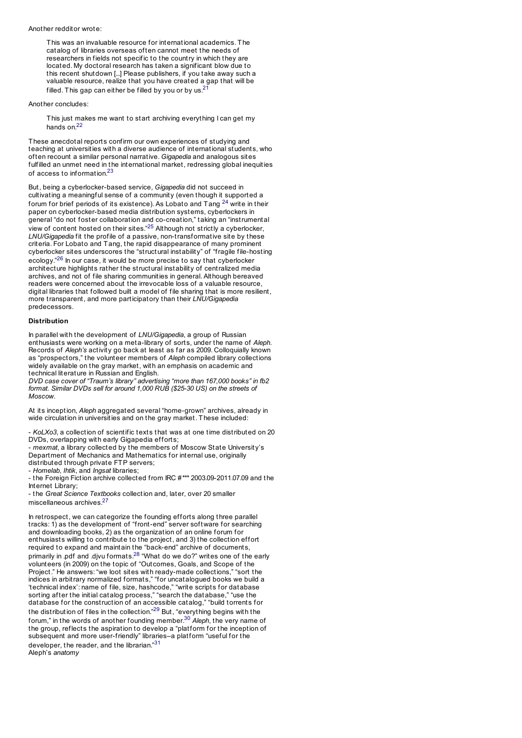#### Another redditor wrote:

This was an invaluable resource for international academics. The catalog of libraries overseas often cannot meet the needs of researchers in fields not specific to the country in which they are located. My doctoral research has taken a significant blow due to this recent shutdown [...] Please publishers, if you take away such a valuable resource, realize that you have created a gap that will be filled. This gap can either be filled by you or by us. $21$ 

Another concludes:

This just makes me want to start archiving everything I can get my hands on.<sup>22</sup>

These anecdotal reports confirm our own experiences of studying and teaching at universities with a diverse audience of international student s, who often recount a similar personal narrative. *Gigapedia* and analogous sites fulfilled an unmet need in the international market, redressing global inequities of access to information.<sup>23</sup>

But, being a cyberlocker-based service, *Gigapedia* did not succeed in cultivating a meaningful sense of a community (even though it supported a forum for brief periods of its existence). As Lobato and Tang  $^{24}$  write in their paper on cyberlocker-based [med](#page-10-6)ia distribution systems, cyberlockers in general "do not foster collaboration and co-creation," taking an "instrumental view of content hosted on their sites."<sup>25</sup> Although not strictly a cyberlocker, *LNU/Gigapedia* fit the profile of a passive, non-transformative site by these criteria. For Lobato and Tang, the rapid disappearance of many prominent cyberlocker sites underscores the "structural instability" of "fragile file-hosting ecology."<sup>26</sup> In our case, it would be more precise to say that cyberlocker architecture highlights rather the structural instability of centralized media archives, and not of file sharing communities in general. Although bereaved readers were concerned about the irrevocable loss of a valuable resource, digital libraries that followed built a model of file sharing that is more resilient, more transparent, and more participatory than [their](#page-11-0) *LNU/Gigapedia* predecessors.

## <span id="page-3-0"></span>**Distribution**

In parallel with the development of *LNU/Gigapedia*, a group of Russian enthusiasts were working on a meta-library of sorts, under the name of *Aleph*. Records of *Aleph's* activity go back at least as far as 2009. Colloquially known as "prospectors," the volunteer members of *Aleph* compiled library collections widely available on the gray market, with an emphasis on academic and technical literature in Russian and English.

*DVD case cover of "Traum's library" advertising "more than 167,000 books" in fb2 format. Similar DVDs sell for around 1,000 RUB (\$25-30 US) on the streets of Moscow.*

At its inception, *Aleph* aggregated several "home-grown" archives, already in wide circulation in universities and on the gray market. These included:

- *KoLXo3*, a collection of scientific texts that was at one time distributed on 20 DVDs, overlapping with early Gigapedia efforts;

- *mexmat*, a library collected by the members of Moscow State Universit y's Department of M[echa](#page-11-1)nics and Mathematics for internal use, originally distributed through private FTP servers;

- *Homelab*, *Ihtik*, and *Ingsat* libraries;

- the Foreign Fiction archive collected from IRC #\*\*\* 2003.09-2011.07.09 and the Internet Library;

- the *Great Science Textbooks* collection and, later, over 20 smaller miscellaneous archives.<sup>27</sup>

<span id="page-3-2"></span><span id="page-3-1"></span>In retrospect, we can categorize the founding efforts along three parallel tracks: 1) as the development of "front-end" server software for searching and downloading books, 2) as the organization of an online forum for enthusiasts willing to contribute to the project, and 3) the collection effort required to expand and maintain the "back-end" archive of documents, primarily in .pdf and .djvu formats.<sup>28</sup> "What do we do?" writes one of the early volunteers (in 2009) on the topic of "Outcomes, Goals, and Scope of the Project." He answers: "we loot sites with ready-made collections," "sort the indices in arbitrary normalized formats," "for uncatalogued books we build a 'technical index': name of file, size, hashcode," "write scripts for database sorting after the initial catalog process," "search the database," "use the database for the construction of an accessible catalog," "build torrents for the distribution of files in the collection."<sup>29</sup> But, "everything begins with the forum," in the words of another founding member.<sup>30</sup> *Aleph*, the very name of the group, reflects the aspiration to develop a "platform for the inception of subsequent and more user-friendly" libraries–a platform "useful for the developer, the reader, and the librarian."31 Aleph's *anatomy*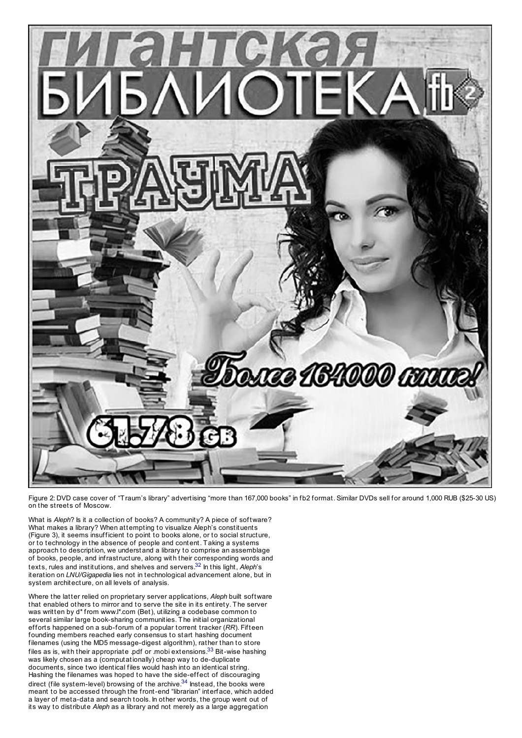

Figure 2: DVD case cover of "Traum's library" advertising "more than 167,000 books" in fb2 format. Similar DVDs sell for around 1,000 RUB (\$25-30 US) on the streets of Moscow.

What is *Aleph*? Is it a collection of books? A community? A piece of software? What makes a library? When attempting to visualize Aleph's constituents (Figure 3), it seems insufficient to point to books alone, or to social structure, or to technology in the absence of people and content. Taking a systems approach to description, we understand a library to comprise an assemblage of books, people, and infrastructure, along with their corresponding words and texts, rules and institutions, and shelves and servers.<sup>32</sup> In this light, *Aleph*'s iteration on *LNU/Gigapedia* lies not in technological advancement alone, but in system architecture, on all levels of analysis.

<span id="page-4-0"></span>Where the latter relied on proprietary server applications, *Aleph* built software that enabled others to mirror and to serve the site in its entirety. The server was written by d\* from www.l\*.com (Bet), utilizing a codebase common to several similar large book-sharing communities. The initial organizational efforts happened on a sub-forum of a popular torrent tracker (*RR*). Fifteen founding members reached early consensus to start hashing document filenames (using the MD5 message-digest algorithm), rather than to store files as is, with their appropriate .pdf or .mobi extensions. $33$  Bit-wise hashing was likely chosen as a (computationally) cheap way to de-duplicate documents, since two identical files would hash into an identical string. Hashing the filenames was hoped to have the side-effect of discouraging direct (file system-level) browsing of the archive.<sup>34</sup> Instead, the books were meant to be accessed through the front-end "librarian" interface, which added a layer of meta-data and search tools. In other words, the group went out of its way to distribute *Aleph* as a library and not merely as a large aggregation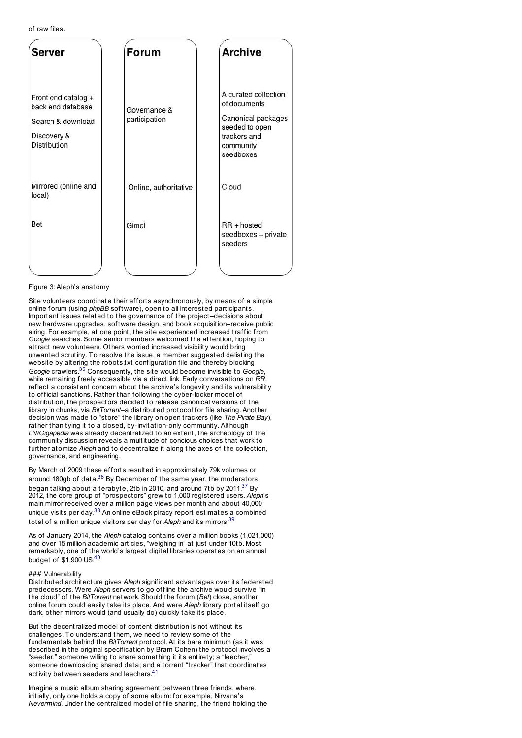of raw files.

| Server                                                                                              | Forum                         | <b>Archive</b>                                                                                                         |
|-----------------------------------------------------------------------------------------------------|-------------------------------|------------------------------------------------------------------------------------------------------------------------|
| Front end catalog +<br>back end database<br>Search & download<br>Discovery &<br><b>Distribution</b> | Governance &<br>participation | A curated collection<br>of documents<br>Canonical packages<br>seeded to open<br>trackers and<br>community<br>seedboxes |
| Mirrored (online and<br>local)                                                                      | Online, authoritative         | Cloud                                                                                                                  |
| <b>Bet</b>                                                                                          | Gimel                         | $RR + hosted$<br>seedboxes + private<br>seeders                                                                        |
|                                                                                                     |                               |                                                                                                                        |

## Figure 3: Aleph's anatomy

Site volunteers coordinate their efforts asynchronously, by means of a simple online forum (using *phpBB* software), open to all interested participants. Important issues related to the governance of the project–decisions about new hardware upgrades, software design, and book acquisition–receive public airing. For example, at one point, the site experienced increased traffic from *Google* searches. Some senior members welcomed the attention, hoping to attract new volunteers. Others worried increased visibilit y would bring unwanted scrutiny. To resolve the issue, a member suggested delisting the website by altering the robots.txt configuration file and thereby blocking *Google* crawlers.<sup>35</sup> Consequently, the site would become invisible to *Google*, while remaining freely accessible via a direct link. Early conversations on *RR*, reflect a consistent concern about the archive's longevity and its vulnerability to official sanctions. Rather than following the cyber-locker model of distribution, the prospectors decided to release canonical versions of the library in chunks, via *BitTorrent*–a distributed protocol for file sharing. Another decision was made to "store" the library on open trackers (like *The Pirate Bay*), rather than tying it to a closed, by-invitation-only communit y. Although *LN/Gigapedia* was already decentralized to an extent, the archeology of the community discussion reveals a multitude of concious choices that work to further atomize *Aleph* and to decentralize it along the axes of the collection, governance, and engineering.

By March of 2009 these efforts resulted in approximately 79k volumes or around 180gb of data. $36$  By December of the same year, the moderators began talking about a [terabyte,](http://computationalculture.net/wp-content/uploads/2014/10/figure-3.jpg) 2tb in 2010, and around 7tb by 2011.<sup>37</sup> By 2012, the core group of "prospectors" grew to 1,000 registered users. *Aleph*'s main mirror received over a million page views per month and about 40,000 unique visits per day.<sup>38</sup> An online eBook piracy report estimates a combined total of a million unique visitors per day for *Aleph* and its mirrors.<sup>39</sup>

As of January 2014, the *Aleph* catalog contains over a million books (1,021,000) and over 15 million academic articles, "weighing in" at just under 10tb. Most remarkably, one of the world's largest digital libraries operates on an annual budget of \$1,900 US.<sup>40</sup>

## ### Vulnerability

Distributed architecture gives *Aleph* significant advantages over its federated predecessors. Were *Aleph* servers to go offline the archive would survive "in the cloud" of the *BitTorrent* network. Should the forum (*Bet*) close, another online forum could easily take it s place. And were *Aleph* library portal itself go dark, other mirrors would (and usually do) quickly take its place.

But the decentralized model of content distribution is not without its challenges. To understand them, we need to review some of the fundamentals behind the *BitTorrent* protocol. At its bare minimum (as it was described in the original specification by Bram Cohen) the protocol involves a "seeder," someone willing to share something it its entirety; a "leecher," someone downloading shared [data](#page-11-2); and a torrent "tracker" that coordinates activity between seeders and leechers.<sup>41</sup>

<span id="page-5-2"></span><span id="page-5-1"></span><span id="page-5-0"></span>Imagine a music album sharing agreement between three friends, where, initially, only one holds a copy of some album: for example, Nirvana's *Nevermind*. Under the centralized model of file sharing, the friend holding the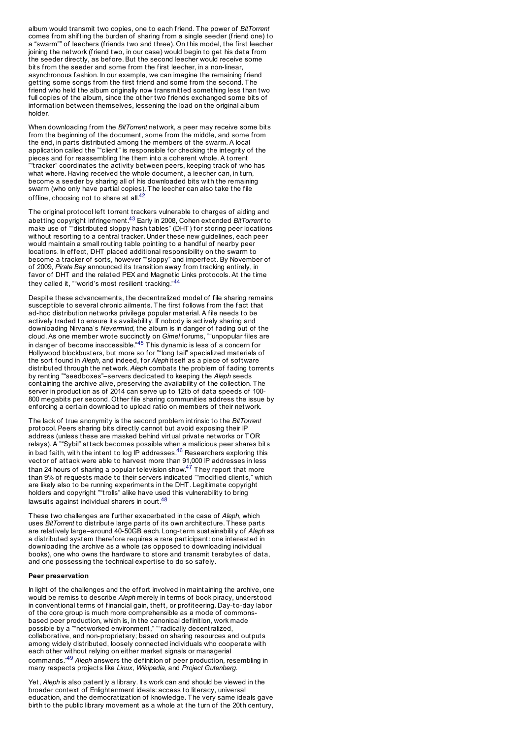album would transmit two copies, one to each friend. The power of *BitTorrent* comes from shifting the burden of sharing from a single seeder (friend one) to a "swarm"" of leechers (friends two and three). On this model, the first leecher joining the network (friend two, in our case) would begin to get his data from the seeder directly, as before. But the second leecher would receive some bit s from the seeder and some from the first leecher, in a non-linear, asynchronous fashion. In our example, we can imagine the remaining friend getting some songs from the first friend and some from the second. The friend who held the album originally now transmitted something less than two full copies of the album, since the other two friends exchanged some bits of information between themselves, lessening the load on the original album holder.

When downloading from the *BitTorrent* network, a peer may receive some bit s from the beginning of the document, some from the middle, and some from the end, in parts distributed among the members of the swarm. A local application called the ""client" is responsible for checking the integrity of the pieces and for reassembling the them into a coherent whole. A torrent ""tracker" coordinates the activity between peers, keeping track of who has what where. Having received the whole document, a leecher can, in turn, become a seeder by sharing all of his downloaded bits with the remaining swarm (who only have partial copies). The leecher can also take the file offline, choosing not to share at all.<sup>42</sup>

The original protocol left torrent trackers vulnerable to charges of aiding and abetting copyright infringement.<sup>43</sup> Early in 2008, Cohen extended *BitTorrent* to make use of ""distributed sloppy hash tables" (DHT) for storing peer locations without resorting to a central tracker. Under these new quidelines, each peer would maintain a small routing table pointing to a handful of nearby peer locations. In effect, DHT placed additional responsibility on the swarm to become a tracker of sort s, however ""sloppy" and imperfect. By November of of 2009, *Pirate Bay* announced its transition away from tracking entirely, in favor of DHT and the related PEX and Magnetic Links protocols. At the time they called it, ""world's most resilient tracking."<sup>44</sup>

Despite these advancements, the decentralized model of file sharing remains susceptible to several chronic ailments. The first follows from the fact that ad-hoc distribution networks privilege popular material. A file needs to be actively traded to ensure its availability. If nobody is actively sharing and downloading Nirvana's *Nevermind*, the album is in danger of fading out of the cloud. As one member wrote succinctly on *Gimel* forums, ""unpopular files are in danger of become inaccessible." $45$  This dynamic is less of a con[cern](#page-11-3) for Hollywood blockbusters, but more so for ""long tail" specialized materials of the sort found in *Aleph*, and indeed, for *Aleph* itself as a piece of software distributed through the network. *Aleph* combats the problem of fading torrents by renting ""seedboxes"–servers dedicated to keeping the *Aleph* seeds containing the archive alive, preserving the availability of the [colle](#page-11-4)ction. The server in production as of 2014 can serve up to 12tb of data speeds of 100-800 megabits per second. Other file sharing communities address the issue by enforcing a certain download to upload ratio on members of their network.

The lack of true anonymity is the second problem intrinsic to the *BitTorrent* protocol. Peers sharing bits directly cannot but avoid exposing their IP address (unless these are masked behind virtual private networks or TOR relays). A ""Sybil" attack becomes possible when a malicious peer shares bit s in bad faith, with the intent to log IP addresses.<sup>46</sup> Researchers exploring this vector of attack were able to harvest more than 91,000 IP addresses in less than 24 hours of sharing a popular television show.<sup>47</sup> They report that more than 9% of requests made to their servers indicated ""modified clients," which are likely also to be running experiments in the DHT. Legitimate copyright holders and copyright ""trolls" alike have used this vulnerability to bring lawsuits against individual sharers in court.<sup>48</sup>

These two challenges are further exacerbated in the case of *Aleph*, which uses *BitTorrent* to distribute large parts of its own architecture. These parts are relatively large–around 40-50GB each. Long-term sustainabilit y of *Aleph* as a distributed system therefore requires a rare participant: one interested in downloading the archive as a whole (as opposed to downloading individual books), one who owns the hardware to store and transmit terabytes of data, and one possessing the technical expertise to do so safely.

## **Peer preservation**

In light of the challenges and the effort involved in maintaining the archive, one would be remiss to describe *Aleph* merely in terms of book piracy, understood in conventional terms of financial gain, theft, or profiteering. Day-to-day labor of the core group is much more comprehensible as a mode of co[mmo](#page-11-5)nsbased peer production, which is, in the canonical definition, work made possible by a ""networked environment," ""radically decentralized, collaborative, and non-proprietary; based on sharing resources and outputs among widely distributed, loosely connected individuals who cooperate with each other without relying on either market signals or managerial commands."<sup>49</sup> *Aleph* answers the definition of peer production, resembling in many respect s projects like *Linux*, *Wikipedia*, and *Project Gutenberg*.

Yet, *Aleph* is also patently a library. Its work can and should be viewed in the broader context of Enlightenment ideals: access to literacy, universal education, and the democratization of knowledge. The very same ideals gave birth to the public library movement as a whole at the turn of the 20th century,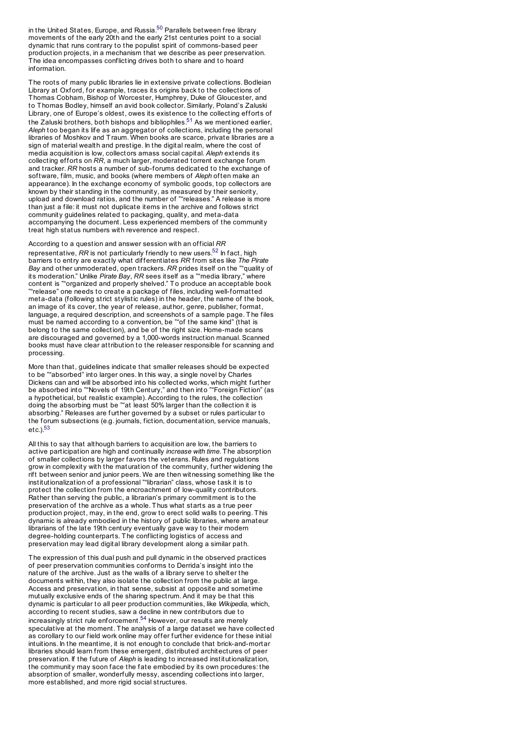<span id="page-7-0"></span>in the United States, Europe, and Russia.<sup>50</sup> Parallels between free library movements of the early 20th and the early 21st centuries point to a social dynamic that runs contrary to the populist spirit of commons-based peer production projects, in a mechanism that we describe as peer preservation. The idea encompasses conflicting drives both to share and to hoard information.

The roots of many public libraries lie in extensive private collections. Bodleian Library at Oxford, for example, traces its origins back to the collections of Thomas Cobham, Bishop of Worcester, Humphrey, Duke of Gloucester, and to Thomas Bodley, himself an avid book collector. Similarly, Poland's Zaluski Library, one of Europe's oldest, owes its existence to the collecting efforts of the Zaluski brothers, both bishops and bibliophiles.<sup>51</sup> As we mentioned earlier, *Aleph* too began its life as an aggregator of collections, including the personal libraries of Moshkov and Traum. When books are scarce, private libraries are a sign of material wealth and prestige. In the digital realm, where the cost of media acquisition is low, collectors amass social capital. *Aleph* extends its collecting efforts on *RR*, a much larger, moderated torrent exchange forum and tracker. *RR* hosts a number of sub-forums dedicated to the exchange of software, film, music, and books (where members of *Aleph* often make an appearance). In the exchange economy of symbolic goods, top collectors are known by their standing in the community, as measured by their seniorit y, upload and download ratios, and the number of ""releases." A release is more than just a file: it must not duplicate items in the archive and follows strict community guidelines related to packaging, quality, and meta-data accompanying the document. Less experienced members of the community treat high status numbers with reverence and respect.

<span id="page-7-1"></span>According to a question and answer session with an official *RR* representative, *RR* is not particularly friendly to new users.<sup>52</sup> In fact, high barriers to entry are exactly what differentiates *RR* from sites like *The Pirate Bay* and other unmoderated, open trackers. *RR* prides itself on the ""quality of its moderation." Unlike *Pirate Bay*, *RR* sees itself as a ""media library," where content is ""organized and properly shelved." To produce an acceptable book ""release" one needs to create a package of files, including well-formatted meta-data (following strict stylistic rules) in the header, the name of the book, an image of its cover, the year of release, author, genre, publisher, format, language, a required description, and screenshots of a sample page. The files must be named according to a convention, be ""of the same kind" (that is belong to the same collection), and be of the right size. Home-made scans are discouraged and governed by a 1,000-words instruction manual. Scanned books must have clear attribution to the releaser responsible for scanning and processing.

More than that, guidelines indicate that smaller releases should be expected to be ""absorbed" into larger ones. In this way, a single novel by Charles Dickens can and will be absorbed into his collected works, which might further be absorbed into ""Novels of 19th Century," and then into ""Foreign Fiction" (as a hypothetical, but realistic example). According to the rules, the collection doing the absorbing must be ""at least 50% larger than the collection it is absorbing." Releases are further governed by a subset or rules particular to the forum subsections (e.g. journals, fiction, documentation, service manuals,  $etc.$ ). $53$ 

<span id="page-7-2"></span>All this to say that although barriers to acquisition are low, the barriers to active participation are high and continually *increase with time*. The absorption of smaller collections by larger favors the veterans. Rules and regulations grow in complexit y with the maturation of the community, further widening the rift between senior and junior peers. We are then witnessing something like the institutionalization of a professional ""librarian" class, whose task it is to protect the collection from the encroachment of low-quality contributors. Rather than serving the public, a librarian's primary commitment is to the preservation of the archive as a whole. Thus what starts as a true peer production project, may, in the end, grow to erect solid walls to peering. This dynamic is already embodied in the history of public libraries, where amateur librarians of the late 19th century eventually gave way to their modern degree-holding counterparts. The conflicting logistics of access and preservation may lead digital library development along a similar path.

The expression of this dual push and pull dynamic in the observed practices of peer preservation communities conforms to Derrida's insight into the nature of the archive. Just as the walls of a library serve to shelter the documents within, they also isolate the collection from the public at large. Access and preservation, in that sense, subsist at opposite and sometime mutually exclusive ends of the sharing spectrum. And it may be that this dynamic is particular to all peer production communities, like *Wikipedia*, which, according to recent studies, saw a decline in new contributors due to  $\frac{54}{10}$  increasingly strict rule enforcement.<sup>54</sup> However, our results are merely speculative at the moment. The analysis of a large dataset we have collected as corollary to our field work online may offer further evidence for these initial intuitions. In the meantime, it is not enough to conclude that brick-and-mortar libraries should learn from these emergent, distributed architectures of peer preservation. If the future of *Aleph* is leading to increased institutionalization, the community may soon face the fate embodied by its own procedures: the absorption of smaller, wonderfully messy, ascending collections into larger, more established, and more rigid social structures.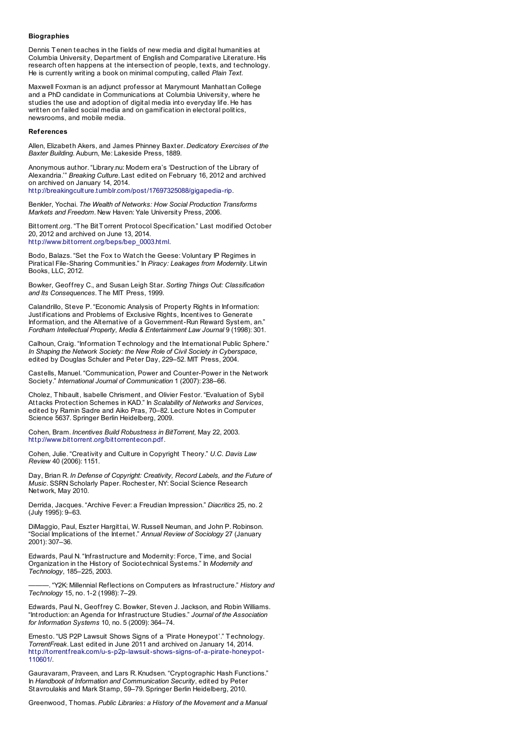## **Biographies**

Dennis Tenen teaches in the fields of new media and digital humanities at Columbia Universit y, Department of English and Comparative Literature. His research often happens at the intersection of people, texts, and technology. He is currently writing a book on minimal computing, called *Plain Text*.

Maxwell Foxman is an adjunct professor at Marymount Manhattan College and a PhD candidate in Communications at Columbia University, where he studies the use and adoption of digital media into everyday life. He has written on failed social media and on gamification in electoral politics, newsrooms, and mobile media.

#### **References**

Allen, Elizabeth Akers, and James Phinney Baxter. *Dedicatory Exercises of the Baxter Building*. Auburn, Me: Lakeside Press, 1889.

Anonymous author. "Library.nu: Modern era's 'Destruction of the Library of Alexandria.'" *Breaking Culture*. Last edited on February 16, 2012 and archived on archived on January 14, 2014. http://breakingculture.tumblr.com/post/17697325088/gigapedia-rip.

Benkler, Yochai. *The Wealth of Networks: How Social Production Transforms*

*Markets and Freedom*. New Haven: Yale University Press, 2006.

Bittorrent.org. "The BitTorrent Protocol Specification." Last modified October 20, 2012 and archived on June 13, 2014.

http://www.bittorrent.org/beps/bep\_0003.html.

Bodo, Balazs. "Set the Fox to Watch the Geese: Voluntary IP Regimes in Piratical File-Sharing Communities." In *Piracy: Leakages from Modernity*. Litwin Books, LLC, 2012.

Bowker, Geoffrey C., and Susan Leigh Star. *Sorting Things Out: Classification and Its Consequences*. The MIT Press, 1999.

Calandrillo, Steve P. "Economic Analysis of Property Rights in Information: Justifications and Problems of Exclusive Rights, Incentives to Generate Information, and the Alternative of a Government-Run Reward System, an." *Fordham Intellectual Property, Media & [Entertainment](file:///srv/doc2pdf/var/in/?https://web.archive.org/web/20140113135846/http://breakingculture.tumblr.com/post/17697325088/gigapedia-rip?) Law Journal* 9 (1998): 301.

Calhoun, Craig. "Information Technology and the International Public Sphere." *In Shaping the Network Society: the New Role of Civil Society in Cyberspace*, edited by Douglas Schuler and Peter Day, 229–52. MIT Press, 2004.

Castells, Manuel. "Communication, Power and Counter-Power in the Network Society." *International Journal of Communication* 1 (2007): 238–66.

Cholez, Thibault, Isabelle Chrisment, and Olivier Festor. "Evaluation of Sybil Attacks Protection Schemes in KAD." In *Scalability of Networks and Services*, edited by Ramin Sadre and Aiko Pras, 70–82. Lecture Notes in Computer Science 5637. Springer Berlin Heidelberg, 2009.

Cohen, Bram. *Incentives Build [Robustness](file:///srv/doc2pdf/var/in/?http://web.archive.org/web/20140613190300/http://www.bittorrent.org/beps/bep_0003.html?) in BitTorrent*, May 22, 2003. http://www.bittorrent.org/bittorrentecon.pdf.

Cohen, Julie. "Creativity and Culture in Copyright Theory." *U.C. Davis Law Review* 40 (2006): 1151.

Day, Brian R. *In Defense of Copyright: Creativity, Record Labels, and the Future of Music*. SSRN Scholarly Paper. Rochester, NY: Social Science Research Network, May 2010.

Derrida, Jacques. "Archive Fever: a Freudian Impression." *Diacritics* 25, no. 2 (July 1995): 9–63.

DiMaggio, Paul, Eszter Hargittai, W. Russell Neuman, and John P. Robinson. "Social Implications of the Internet." *Annual Review of Sociology* 27 (January 2001): 307–36.

Edwards, Paul N. "Infrastructure and Modernity: Force, Time, and Social Organization in the History of Sociotechnical Systems." In *Modernity and Technology*, 185–225, 2003.

———. "Y2K: Millennial Reflections on Computers as Infrastructure." *History and Technology* 15, no. 1-2 (1998): 7–29.

Edwards, Paul N., Geoffrey C. Bowker, Steven J. Jackson, and Robin Williams. "Introduction: an Agenda for Infrastructure Studies." *Journal of the Association for Information Systems* 10, no. 5 (2009): 364–74.

Ernesto. "US P2P Lawsuit Shows Signs of a 'Pirate Honeypot'." Technology. *TorrentFreak*. Last edited in June 2011 and archived on January 14, 2014. http://torrentfreak.com/u-s-p2p-lawsuit-shows-signs-of-a-pirate-honeypot-110601/.

Gauravaram, Praveen, and Lars R. Knudsen. "Cryptographic Hash Functions." In *Handbook of Information and Communication Security*, edited by Peter Stavroulakis and Mark Stamp, 59–79. Springer Berlin Heidelberg, 2010.

Greenwood, Thomas. *Public Libraries: a History of the Movement and a Manual*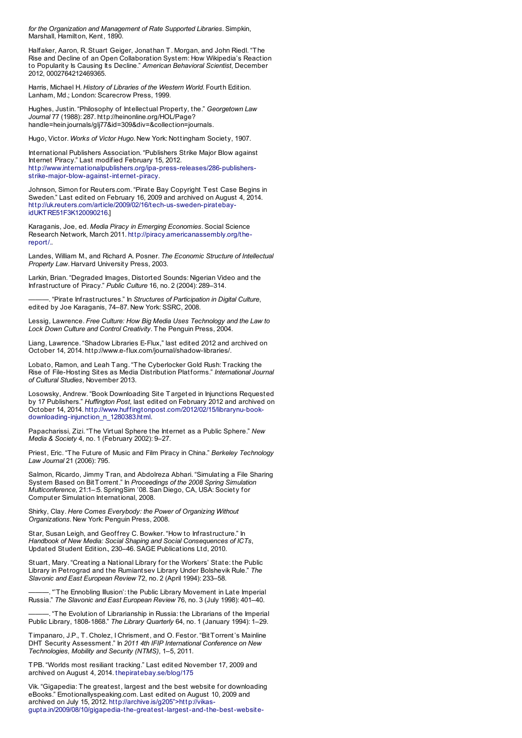*for the Organization and Management of Rate Supported Libraries*. Simpkin, Marshall, Hamilton, Kent, 1890.

Halfaker, Aaron, R. Stuart Geiger, Jonathan T. Morgan, and John Riedl. "The Rise and Decline of an Open Collaboration System: How Wikipedia's Reaction to Popularit y Is Causing Its Decline." *American Behavioral Scientist*, December 2012, 0002764212469365.

Harris, Michael H. *History of Libraries of the Western World*. Fourth Edition. Lanham, Md.; London: Scarecrow Press, 1999.

Hughes, Justin. "Philosophy of Intellectual Propert y, the." *Georgetown Law Journal* 77 (1988): 287. http://heinonline.org/HOL/Page? handle=hein.journals/glj77&id=309&div=&collection=journals.

Hugo, Victor. *Works of Victor Hugo*. New York: Nottingham Society, 1907.

International Publishers Association. "Publishers Strike Major Blow against Internet Piracy." Last modified February 15, 2012. http://www.internationalpublishers.org/ipa-press-releases/286-publishersstrike-major-blow-against-internet-piracy.

Johnson, Simon for Reuters.com. "Pirate Bay Copyright Test Case Begins in Sweden." Last edited on February 16, 2009 and archived on August 4, 2014. http://uk.reuters.com/article/2009/02/16/tech-us-sweden-piratebayidUKT RE51F3K120090216.1

Karaganis, Joe, ed. *Media Piracy in Emerging Economies*. Social Science Research Network, March 2011. http://piracy.americanassembly.org/thereport/..

Landes, William M., and Richard A. Posner. *The Economic Structure of Intellectual Property Law*. Harvard University Press, 2003.

Larkin, Brian. "Degraded Images, Distorted Sounds: Nigerian Video and the Infrastructure of Piracy." *Public Culture* 16, no. 2 (2004): 289–314.

———. "Pirate [Infrastructures."](file:///srv/doc2pdf/var/in/?http://www.internationalpublishers.org/ipa-press-releases/286-publishers-strike-major-blow-against-internet-piracy?) In *Structures of Participation in Digital Culture*, edited by Joe Karaganis, 74–87. New York: SSRC, 2008.

Lessig, Lawrence. *Free Culture: How Big Media Uses Technology and the Law to Lock Down Culture and Control Creativity*. The Penguin Press, 2004.

Liang, Lawrence. "Shadow Libraries E-Flux," last edited 2012 and archived on October 14, 2014. http://www.e-flux.com/journal/shadow-libraries/.

Lobato, Ramon, and Leah Tang. "The [Cyberlocker](http://web.archive.org/web/20140804000829/http://uk.reuters.com/article/2009/02/16/tech-us-sweden-piratebay-idUKTRE51F3K120090216?) Gold Rush: Tracking the Rise of File-Hosting Sites as Media Distribution Platforms." *International Journal of Cultural Studies*, November 2013.

Losowsky, Andrew. "Book Downloading Site Targeted in Injunctions Requested by 17 Publishers." *Huffington Post*, last edited on February 2012 and archived on October 14, 2014. [http://www.huffingtonpost.com/2012/02/15/librarynu-book](file:///srv/doc2pdf/var/in/?http://piracy.americanassembly.org/the-report/?)downloading-injunction\_n\_1280383.html.

Papacharissi, Zizi. "The Virtual Sphere the Internet as a Public Sphere." *New Media & Society* 4, no. 1 (February 2002): 9–27.

Priest, Eric. "The Future of Music and Film Piracy in China." *Berkeley Technology Law Journal* 21 (2006): 795.

Salmon, Ricardo, Jimmy Tran, and Abdolreza Abhari. "Simulating a File Sharing System Based on BitTorrent." In *Proceedings of the 2008 Spring Simulation Multiconference*, 21:1–:5. SpringSim '08. San Diego, CA, USA: Societ y for Computer Simulation International, 2008.

Shirky, Clay. *Here Comes Everybody: the Power of Organizing Without Organizations*. New York: Penguin Press, 2008.

Star, Susan Leigh, and Geoffrey C. Bowker. "How to Infrastructure." In *Handbook of New Media: Social Shaping and Social Consequences of ICTs*, Updated Student Edition., 230–46. SAGE Publications Ltd, 2010.

Stuart, Mary. "Creating a National Library for the Workers' State: the Public Library in Petrograd and the Rumiantsev Library Under Bolshevik Rule." *The Slavonic and East European Review* 72, no. 2 (April 1994): 233–58.

"The Ennobling Illusion': the Public Library Movement in Late Imperial Russia." *The Slavonic and East European Review* 76, no. 3 (July 1998): 401–40.

"The Evolution of Librarianship in Russia: the Librarians of the Imperial Public Library, 1808-1868." *The Library Quarterly* 64, no. 1 (January 1994): 1–29.

Timpanaro, J.P., T. Cholez, I Chrisment, and O. Festor. "BitTorrent's Mainline DHT Securit y Assessment." In *2011 4th IFIP International Conference on New Technologies, Mobility and Security (NTMS)*, 1–5, 2011.

TPB. "Worlds most resiliant tracking." Last edited November 17, 2009 and archived on August 4, 2014. thepiratebay.se/blog/175

Vik. "Gigapedia: The greatest, largest and the best website for downloading eBooks." Emotionallyspeaking.com. Last edited on August 10, 2009 and archived on July 15, 2012. http://archive.is/g205">http://vikasgupta.in/2009/08/10/gigapedia-the-greatest-largest-and-the-best-website-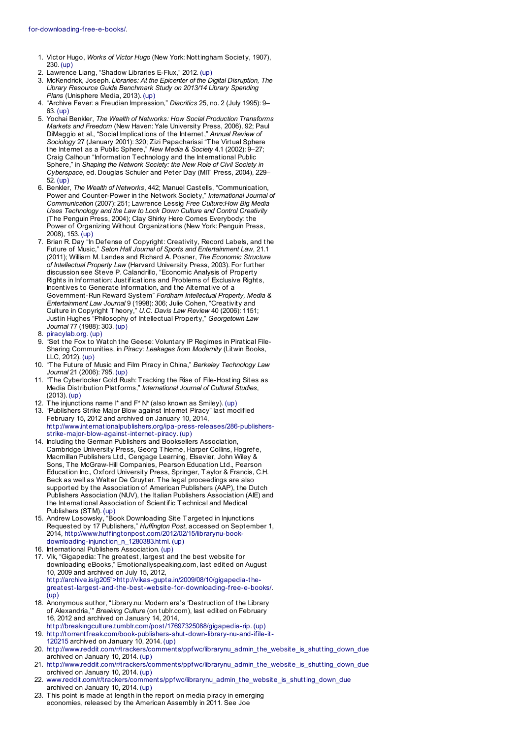- 1. Victor Hugo, *Works of Victor Hugo* (New York: Nottingham Society, 1907), 230. (up)
- 2. Lawrence Liang, "Shadow Libraries E-Flux," 2012. (up)
- <span id="page-10-0"></span>3. McKendrick, Joseph. *Libraries: At the Epicenter of the Digital Disruption, The Library Resource Guide Benchmark Study on 2013/14 Library Spending Plans* (Unisphere [Medi](#page-0-0)a, 2013). (up)
- <span id="page-10-1"></span>4. "Archive Fever: a Freudian Impression," *Diacritics* 25, no. 2 (July 1995): 9– 63. (up)
- 5. Yochai Benkler, *The Wealth of Networks: How Social Production Transforms Markets and Freedom* (New Haven: Yale University Press, 2006), 92; Paul DiMaggio et al., "Social Implications of the Internet," *Annual Review of Sociology* 27 (January 2001): 320; Zizi Papacharissi "The Virtual Sphere the Internet as a Public Sphere," *New Media & Society* 4.1 (2002): 9–27; Craig Calhoun "Information Technology and the International P[ublic](#page-0-1) Sphere," in *Shaping the Network Society: the New Role of Civil Society in Cyberspace*, ed. Douglas Schuler and Peter Day (MIT Press, 2004), 229– 52. (up)
- 6. Benkler, *The [Wealth](#page-0-2) of Networks*, 442; Manuel Castells, "Communication, Power and Counter-Power in the Network Society," *International Journal of Communication* (2007): 251; Lawrence Lessig *Free Culture:How Big Media Uses Technology and the Law to Lock Down Culture and Control Creativity* (The Penguin Press, 2004); Clay Shirky Here Comes Everybody: the Power of Organizing Without Organizations (New York: Penguin Press, 2008), 153. (up)
- 7. Brian R. Day "In Defense of Copyright: Creativity, Record Labels, and the Future of Music," *Seton Hall Journal of Sports and Entertainment Law*, 21.1 (2011); William M. Landes and Richard A. Posner, *The Economic Structure of Intellectual Property Law* (Harvard University Press, 2003). For further discussion see Steve P. Calandrillo, "Economic Analysis of Propert y Rights in Information: Justifications and Problems of Exclusive Rights, Incentives to Generate Information, and the Alternative of a Government-Run Reward System" *Fordham Intellectual Property, Media & Entertainment Law Journal* 9 (1998): 306; Julie Cohen, "Creativit y and Culture in C[opyright](#page-0-3) Theory," *U.C. Davis Law Review* 40 (2006): 1151; Justin Hughes "Philosophy of Intellectual Property," *Georgetown Law Journal* 77 (1988): 303. (up)
- 8. piracylab.org. (up)
- "Set the Fox to Watch the Geese: Voluntary IP Regimes in Piratical File-Sharing Communities, in *Piracy: Leakages from Modernity* (Litwin Books, LLC, 2012). (up)
- 10. "The Future of Music and Film Piracy in China," *Berkeley Technology Law Journal* 21 (2006): 795. (up)
- 11. "The Cyberlocker Gold Rush: Tracking the Rise of File-Hosting Sites as Media Distribution Platforms," *International Journal of Cultural Studies*, (2013). (up)
- 12. The injunctions name I\* and F\* N\* (also known as Smiley). (up)
- 13. "Publishers Strike Major Blow [agai](#page-0-4)nst Internet Piracy" last modified February 15, 2012 and archived on January 10, 2014, http://www.internationalpublishers.org/ipa-press-releases/286-publishers-
- strike-major-blow-against-internet-piracy. (up) 14. Including the German Publishers and Booksellers Association, Cambridge University Press, Georg Thieme, Harper Collins, Hogrefe, Macmillan Publishers Ltd., Cengage Learning, Elsevier, John Wiley & Sons, The McGraw-Hill Companies, Pearson Education Ltd., Pearson Education Inc., Oxford University Press, Springer, Taylor & Francis, C.H. Beck as well as Walter De Gruyter. The legal proceedings are also supported by the Association of American Publishers (AAP), the Dutch Publishers Association (NUV), the Italian Publishers Association (AIE) and the International Association of Scientific Technical and Medical Publishers (STM). (up)
- 15. Andrew Losowsky, "Book Downloading Site Targeted in Injunctions Requested by 17 Publishers," *Huffington Post*, accessed on September 1, 2014, http://www.huffingtonpost.com/2012/02/15/librarynu-bookdownloading-injunction\_n\_1280383.html. (up)
- 16. International Publishers Association. (up)
- 17. Vik, "Gigapedia: The greatest, largest and the best website for downloading eBooks," Emotionallyspeaking.com, last edited on August 10, 2009 and archived on July 15, 2012, http://archive.is/g205">http://vikas-gupta.in/2009/08/10/gigapedia-thegreatest-largest-and-the-best-website-for-d[ownload](#page-0-5)ing-free-e-books/. (up)
- <span id="page-10-3"></span><span id="page-10-2"></span>18. Anonymous author, ["Library.nu](file:///srv/doc2pdf/var/in/?http://piracylab.org?): [Modern](#page-1-0) era's 'Destruction of the Library of Alexandria,'" *Breaking Culture* (on tublr.com), last edited on February 16, 2012 and archived on January 14, 2014, http://breakingculture.tumblr.com/post/17697325088/gigapedia-rip. (up)
- 19. http://torrentfreak.com/book-publishers-shut-down-library-nu-and-ifile-it-120215 archived on January 10, 2014. (up)
- <span id="page-10-4"></span>20. http://www.reddit.com/r/tra[ckers/co](#page-1-1)mments/ppfwc/librarynu\_admin\_the\_website\_is\_shutting\_down\_due archived on January 10, 2014. (up)
- 21. http://www.reddit.com/r/trackers/comments/pp[fwc/libra](#page-1-2)rynu\_admin\_the\_website\_is\_shutting\_down\_due orchived on January 10, 2014. (up)
- 22. www.reddit.com/r/trackers/comments/ppfwc/librarynu\_admin\_the\_website\_is\_shutting\_down\_due archived on January 10, 2014. (up)
- <span id="page-10-6"></span><span id="page-10-5"></span>23. This point is made at length in the report on media piracy in emerging economies, released by the American Assembly in 2011. See Joe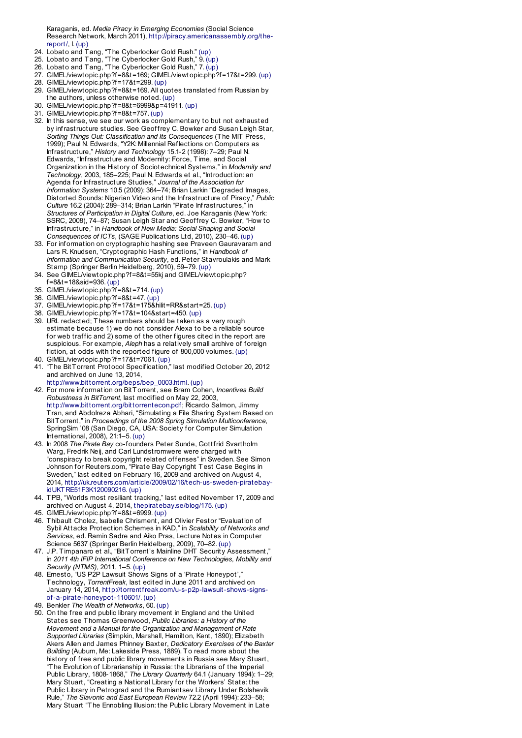<span id="page-11-0"></span>Karaganis, ed. *Media Piracy in Emerging Economies* (Social Science Research Network, March 2011), http://piracy.americanassembly.org/thereport/, I. (up)

- 24. Lobato and Tang, "The [Cyberlocker](file:///srv/doc2pdf/var/in/?http://piracy.americanassembly.org/the-report/?) Gold Rush." (up)
- 25. Lobato and Tang, "The [Cyberlo](#page-3-0)cker Gold Rush," 9. (up)
- 26. Lobato and Tang, "The Cyberlocker Gold Rush," 7. (up)
- 27. GIMEL/viewtopic.php?f=8&t=169; GIMEL/viewtopic.php?f=17&t=299. (up) 28. GIMEL/viewtopic.php?f=17&t=299. (up)
- 29. GIMEL/viewtopic.php?f=8&t=169. All quotes translated from Russian by the authors, unless otherwise noted. (up)
- <span id="page-11-1"></span>30. GIMEL/viewtopic.php?f=8&t=6999&p=41911. (up)
- 31. GIMEL/viewtopic.php?f=8&t=757. (up)
- 32. In this sense, we see our work as complementary to but not exhausted by infrastructure studies. See Geoffrey C. Bowker and Susan Leigh St[ar,](#page-3-1) *Sorting Things Out: Classification and Its Consequences* (The MIT Press, 1999); Paul N. Edwards, "Y2K: Millennial Reflections on Computers as Infrastructure," *History and Technology* 15.1-2 (1998): 7–29; Paul N. Edwards, "Infrastructure and Modernity: Force, Time, and Social Organization in the History of Sociotechnical Systems," in *Modernity and Technology*, 2003, 185–225; Paul N. Edwards et al., "Introduction: an Agenda for Infrastructure Studies," *Journal of the Association for Information Systems* 10.5 (2009): 364–74; Brian Larkin "Degraded Ima[ges,](#page-3-2) Distorted Sounds: Nigerian Video and the Infrastructure of Piracy," *Public Culture* 16.2 (2004): 289–314; Brian Larkin "Pirate Infrastructures," in *Structures of Participation in Digital Culture*, ed. Joe Karaganis (New York: SSRC, 2008), 74–87; Susan Leigh Star and Geoffrey C. Bowker, "How to Infrastructure," in *Handbook of New Media: Social Shaping and Social Consequences of ICTs*, (SAGE Publications Ltd, 2010), 230–46. (up)
- 33. For information on cryptographic hashing see Praveen Gauravaram and Lars R. Knudsen, "Cryptographic Hash Functions," in *Handbook of Information and Communication Security*, ed. Peter Stavroulakis and Mark Stamp (Springer Berlin Heidelberg, 2010), 59–79. (up)
- 34. See GIMEL/viewtopic.php?f=8&t=55kj and GIMEL/viewtopic.php?
- f=8&t=18&sid=936. (up)
- 35. GIMEL/viewtopic.php?f=8&t=714. (up)
- 36. GIMEL/viewtopic.php?f=8&t=47. (up)
- 37. GIMEL/viewtopic.php?f=17&t=175&hilit=RR&start=25. (up)
- 38. GIMEL/viewtopic.php?f=17&t=104&start=450. (up)
- 39. URL redacted; These numbers should be taken as a very rough estimate because 1) we do not consider Alexa to be a reliable source for web traffic and 2) some of the other figures cited in the report are suspicious. For example, *Aleph* has a relatively small archive of foreign fiction, at odds with the reported figure of 800,000 volumes. (up) 40. GIMEL/viewtopic.php?f=17&t=7061. (up)
- 

41. "The BitTorrent Protocol Specification," last modified October 20, 2012 and archived on June 13, 2014,

- http://www.bittorrent.org/beps/bep\_0003.html. (up) 42. For more information on BitTorrent, see Bram Cohen, *Incentives Build Robustness in BitTorrent*, last modified on May 22, 2003, http://www.bittorrent.org/bittorrentecon.pdf; Ricardo Salmon, Jimmy Tran, and Abdolreza Abhari, "Simulating a File Sharing System Based on BitTorrent," in *Proceedings of the 2008 Spring Simulation Multiconference*, SpringSim '08 (San Diego, CA, USA: Society for Computer Simulation International, 2008), 21:1–5. (up)
- 43. In 2008 *The Pirate Bay* co-founders Peter Sunde, Gottfrid Svartholm Warg, Fredrik Neij, and Carl Lundstromwere were charged with "conspiracy to break copyright related offenses" in Sweden. See Simon Johnson for Reuters.com, "Pirate Bay Copyright Test Case Begins in Sweden," last edited on February 16, 2009 and archived on August 4, 2014, http://uk.reuters.com/article/2009/02/16/tech-us-sweden-piratebayidUKTRE51F3K120090216. (up)
- 44. TPB, "Worlds most resiliant tracking," last edited November 17, 2009 and archived on August 4, 2014, thepiratebay.[se/blog/](#page-4-0)175. (up)
- <span id="page-11-2"></span>45. GIMEL/viewtopic.php?f=8&t=6999. (up)
- 46. Thibault Cholez, Isabelle Chrisment, and Olivier Festor "Evaluation [of](#page-5-0) Sybil Attacks Protection Schemes in KAD," in *Scalability of Networks [and](#page-5-1) Services*, ed. Ramin Sadre and Aiko Pras, Lecture Notes in Computer Science 5637 (Springer Berlin Heidelberg, 2009), 70–82. (up)
- 47. J.P. Timpanaro et al., "BitTorrent's Mainline DHT Security Assessment," in *2011 4th IFIP International Conference on New Technologies, Mobility and Security (NTMS)*, 2011, 1–5. (up)
- 48. Ernesto, "US P2P Lawsuit Shows Signs of a 'Pirate Honeypot', Technology, *TorrentFreak*, last edited in June 2011 and archived on January 14, 2014, http://torrentfreak.com/u-s-p2p-lawsuit-shows-signsof-a-pirate-honeypot-110601/. (up)
- 49. Benkler *The Wealth of Networks*, 60. (up)
- <span id="page-11-5"></span><span id="page-11-4"></span><span id="page-11-3"></span>50. On the free and public library movement in England and the United States see Thomas Greenwood, *Public Libraries: a History of the Movement and a Manual for the Organization and Management of Rate Supported Libraries* (Simpkin, Marshall, Hamilton, Kent, 1890); Elizabeth Akers Allen and James Phinney Baxter, *Dedicatory Exercises of the Baxte[r](#page-5-2) Building* (Auburn, Me: Lakeside Press, 1889). To read more about the history of free and public library movements in Russia see Mary Stuart, "The Evolution of Librarianship in Russia: the Librarians of the Imperial Public Library, 1808-1868," *The Library Quarterly* 64.1 (January 1994): 1–29; Mary Stuart, "Creating a National Library for the Workers' State: the Public Library in Petrograd and the [Rumiantsev](file:///srv/doc2pdf/var/in/?http://web.archive.org/web/20140613190300/http://www.bittorrent.org/beps/bep_0003.html?) Library Under Bolshevik Rule," *The Slavonic and East European Review* 72.2 (April 1994): 233–58; Mary Stuart "The Ennobling Illusion: the Public Library Movement in Late